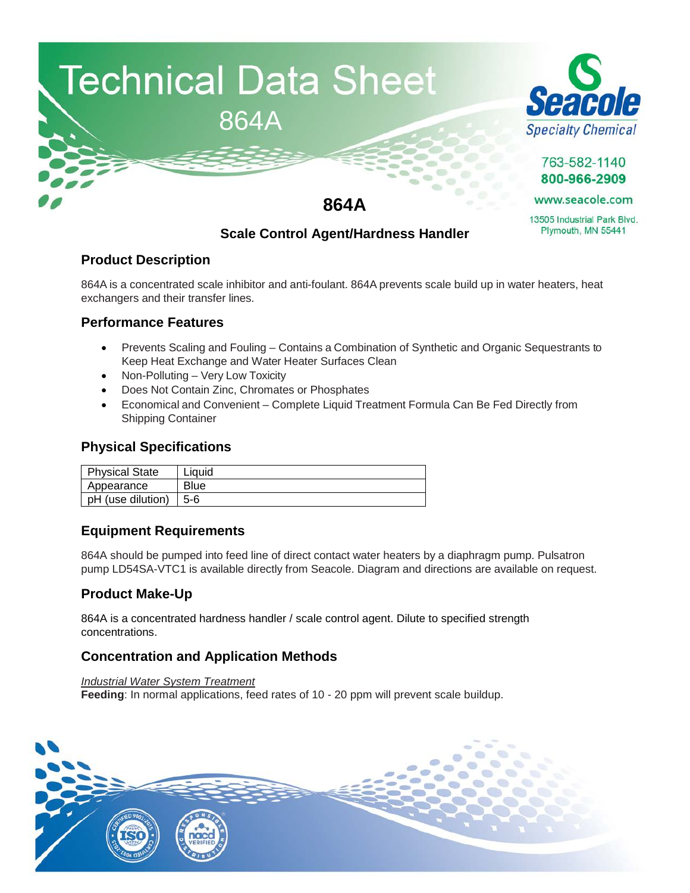



763-582-1140 800-966-2909

www.seacole.com

13505 Industrial Park Blvd. Plymouth, MN 55441

# **864A**

# **Scale Control Agent/Hardness Handler**

## **Product Description**

864A is a concentrated scale inhibitor and anti-foulant. 864A prevents scale build up in water heaters, heat exchangers and their transfer lines.

#### **Performance Features**

- Prevents Scaling and Fouling Contains a Combination of Synthetic and Organic Sequestrants to Keep Heat Exchange and Water Heater Surfaces Clean
- Non-Polluting Very Low Toxicity
- Does Not Contain Zinc, Chromates or Phosphates
- Economical and Convenient Complete Liquid Treatment Formula Can Be Fed Directly from Shipping Container

#### **Physical Specifications**

| Physical State                | ∟iauid      |
|-------------------------------|-------------|
| Appearance                    | <b>Blue</b> |
| $ $ pH (use dilution) $ $ 5-6 |             |

## **Equipment Requirements**

864A should be pumped into feed line of direct contact water heaters by a diaphragm pump. Pulsatron pump LD54SA-VTC1 is available directly from Seacole. Diagram and directions are available on request.

## **Product Make-Up**

864A is a concentrated hardness handler / scale control agent. Dilute to specified strength concentrations.

## **Concentration and Application Methods**

*Industrial Water System Treatment*  **Feeding**: In normal applications, feed rates of 10 - 20 ppm will prevent scale buildup.